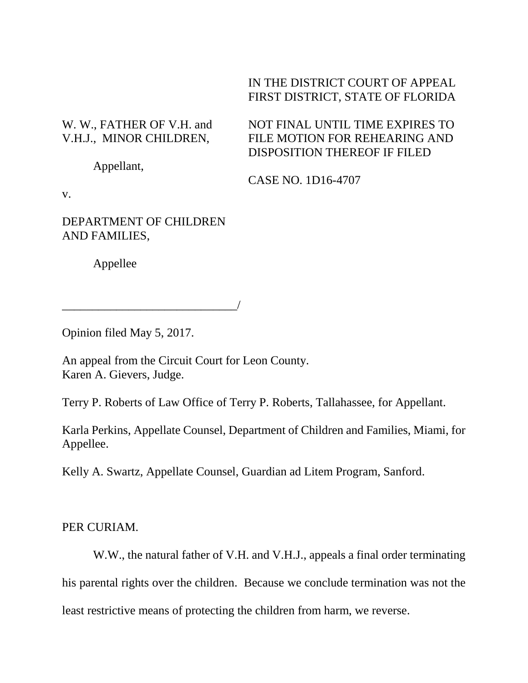## IN THE DISTRICT COURT OF APPEAL FIRST DISTRICT, STATE OF FLORIDA

NOT FINAL UNTIL TIME EXPIRES TO

## W. W., FATHER OF V.H. and V.H.J., MINOR CHILDREN,

FILE MOTION FOR REHEARING AND DISPOSITION THEREOF IF FILED

Appellant,

CASE NO. 1D16-4707

v.

DEPARTMENT OF CHILDREN AND FAMILIES,

\_\_\_\_\_\_\_\_\_\_\_\_\_\_\_\_\_\_\_\_\_\_\_\_\_\_\_\_\_/

Appellee

Opinion filed May 5, 2017.

An appeal from the Circuit Court for Leon County. Karen A. Gievers, Judge.

Terry P. Roberts of Law Office of Terry P. Roberts, Tallahassee, for Appellant.

Karla Perkins, Appellate Counsel, Department of Children and Families, Miami, for Appellee.

Kelly A. Swartz, Appellate Counsel, Guardian ad Litem Program, Sanford.

PER CURIAM.

W.W., the natural father of V.H. and V.H.J., appeals a final order terminating

his parental rights over the children. Because we conclude termination was not the

least restrictive means of protecting the children from harm, we reverse.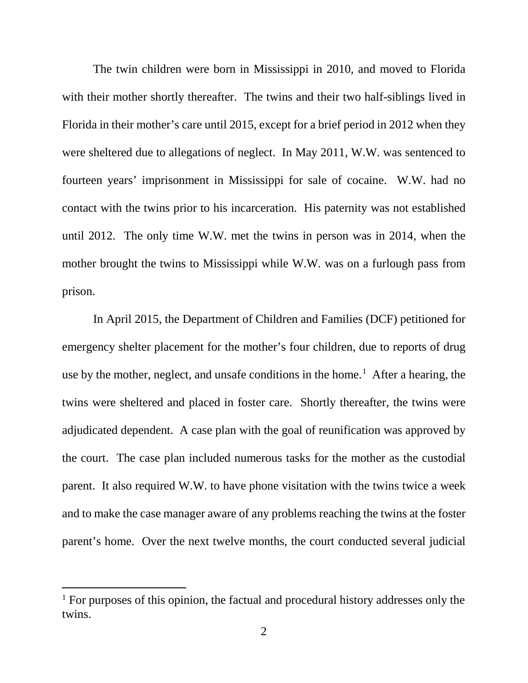The twin children were born in Mississippi in 2010, and moved to Florida with their mother shortly thereafter. The twins and their two half-siblings lived in Florida in their mother's care until 2015, except for a brief period in 2012 when they were sheltered due to allegations of neglect. In May 2011, W.W. was sentenced to fourteen years' imprisonment in Mississippi for sale of cocaine. W.W. had no contact with the twins prior to his incarceration. His paternity was not established until 2012. The only time W.W. met the twins in person was in 2014, when the mother brought the twins to Mississippi while W.W. was on a furlough pass from prison.

In April 2015, the Department of Children and Families (DCF) petitioned for emergency shelter placement for the mother's four children, due to reports of drug use by the mother, neglect, and unsafe conditions in the home.<sup>[1](#page-1-0)</sup> After a hearing, the twins were sheltered and placed in foster care. Shortly thereafter, the twins were adjudicated dependent. A case plan with the goal of reunification was approved by the court. The case plan included numerous tasks for the mother as the custodial parent. It also required W.W. to have phone visitation with the twins twice a week and to make the case manager aware of any problems reaching the twins at the foster parent's home. Over the next twelve months, the court conducted several judicial

Ĩ.

<span id="page-1-0"></span><sup>&</sup>lt;sup>1</sup> For purposes of this opinion, the factual and procedural history addresses only the twins.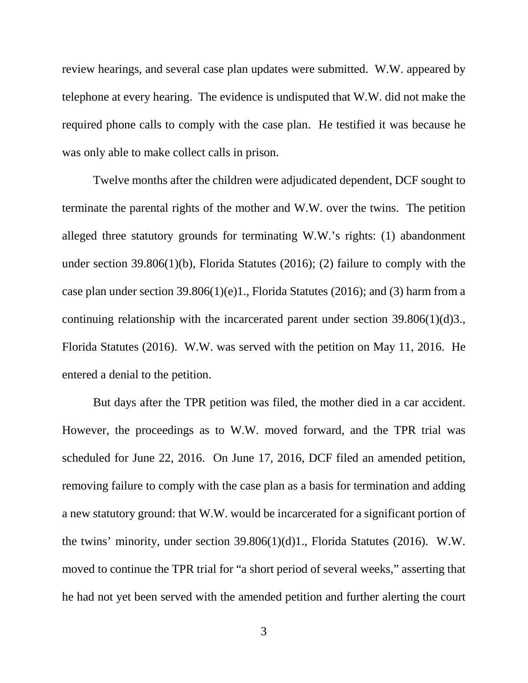review hearings, and several case plan updates were submitted. W.W. appeared by telephone at every hearing. The evidence is undisputed that W.W. did not make the required phone calls to comply with the case plan. He testified it was because he was only able to make collect calls in prison.

Twelve months after the children were adjudicated dependent, DCF sought to terminate the parental rights of the mother and W.W. over the twins. The petition alleged three statutory grounds for terminating W.W.'s rights: (1) abandonment under section 39.806(1)(b), Florida Statutes (2016); (2) failure to comply with the case plan under section 39.806(1)(e)1., Florida Statutes (2016); and (3) harm from a continuing relationship with the incarcerated parent under section 39.806(1)(d)3., Florida Statutes (2016). W.W. was served with the petition on May 11, 2016. He entered a denial to the petition.

But days after the TPR petition was filed, the mother died in a car accident. However, the proceedings as to W.W. moved forward, and the TPR trial was scheduled for June 22, 2016. On June 17, 2016, DCF filed an amended petition, removing failure to comply with the case plan as a basis for termination and adding a new statutory ground: that W.W. would be incarcerated for a significant portion of the twins' minority, under section 39.806(1)(d)1., Florida Statutes (2016). W.W. moved to continue the TPR trial for "a short period of several weeks," asserting that he had not yet been served with the amended petition and further alerting the court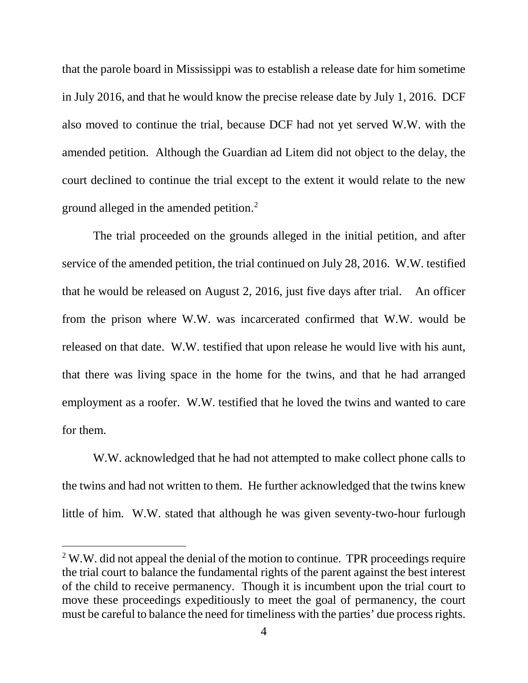that the parole board in Mississippi was to establish a release date for him sometime in July 2016, and that he would know the precise release date by July 1, 2016. DCF also moved to continue the trial, because DCF had not yet served W.W. with the amended petition. Although the Guardian ad Litem did not object to the delay, the court declined to continue the trial except to the extent it would relate to the new ground alleged in the amended petition.<sup>[2](#page-3-0)</sup>

The trial proceeded on the grounds alleged in the initial petition, and after service of the amended petition, the trial continued on July 28, 2016. W.W. testified that he would be released on August 2, 2016, just five days after trial. An officer from the prison where W.W. was incarcerated confirmed that W.W. would be released on that date. W.W. testified that upon release he would live with his aunt, that there was living space in the home for the twins, and that he had arranged employment as a roofer. W.W. testified that he loved the twins and wanted to care for them.

W.W. acknowledged that he had not attempted to make collect phone calls to the twins and had not written to them. He further acknowledged that the twins knew little of him. W.W. stated that although he was given seventy-two-hour furlough

Ĩ.

<span id="page-3-0"></span> $2$  W.W. did not appeal the denial of the motion to continue. TPR proceedings require the trial court to balance the fundamental rights of the parent against the best interest of the child to receive permanency. Though it is incumbent upon the trial court to move these proceedings expeditiously to meet the goal of permanency, the court must be careful to balance the need for timeliness with the parties' due process rights.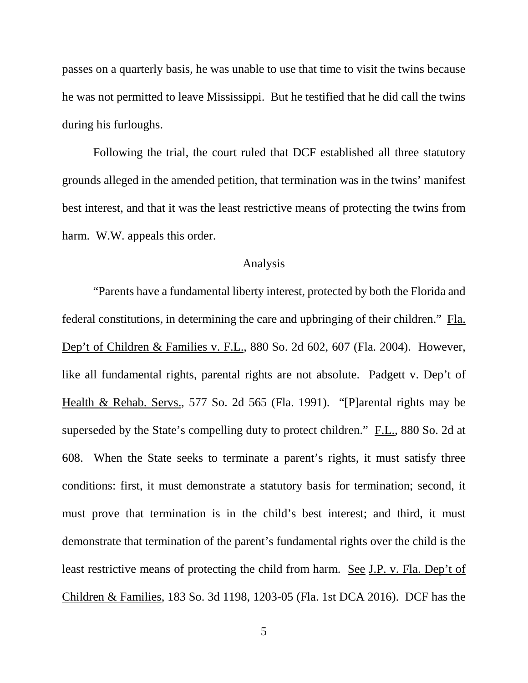passes on a quarterly basis, he was unable to use that time to visit the twins because he was not permitted to leave Mississippi. But he testified that he did call the twins during his furloughs.

Following the trial, the court ruled that DCF established all three statutory grounds alleged in the amended petition, that termination was in the twins' manifest best interest, and that it was the least restrictive means of protecting the twins from harm. W.W. appeals this order.

## Analysis

"Parents have a fundamental liberty interest, protected by both the Florida and federal constitutions, in determining the care and upbringing of their children." Fla. Dep't of Children & Families v. F.L., 880 So. 2d 602, 607 (Fla. 2004). However, like all fundamental rights, parental rights are not absolute. Padgett v. Dep't of Health & Rehab. Servs., 577 So. 2d 565 (Fla. 1991). "[P]arental rights may be superseded by the State's compelling duty to protect children." F.L., 880 So. 2d at 608. When the State seeks to terminate a parent's rights, it must satisfy three conditions: first, it must demonstrate a statutory basis for termination; second, it must prove that termination is in the child's best interest; and third, it must demonstrate that termination of the parent's fundamental rights over the child is the least restrictive means of protecting the child from harm. See J.P. v. Fla. Dep't of Children & Families, 183 So. 3d 1198, 1203-05 (Fla. 1st DCA 2016). DCF has the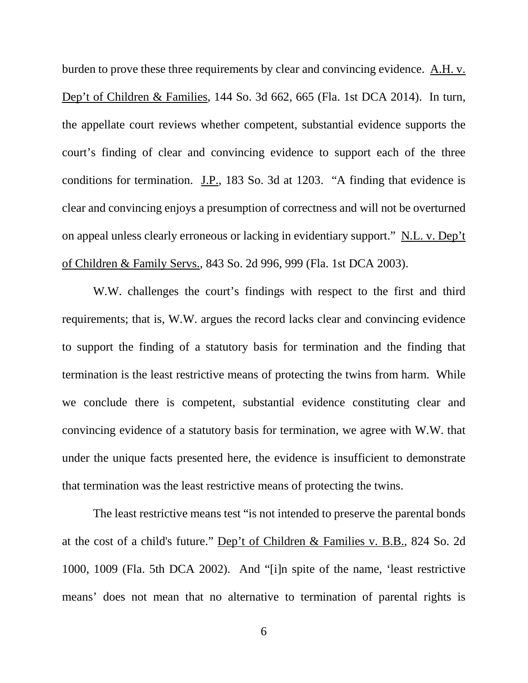burden to prove these three requirements by clear and convincing evidence. A.H. v. Dep't of Children & Families, 144 So. 3d 662, 665 (Fla. 1st DCA 2014). In turn, the appellate court reviews whether competent, substantial evidence supports the court's finding of clear and convincing evidence to support each of the three conditions for termination. J.P., 183 So. 3d at 1203. "A finding that evidence is clear and convincing enjoys a presumption of correctness and will not be overturned on appeal unless clearly erroneous or lacking in evidentiary support." N.L. v. Dep't of Children & Family Servs., 843 So. 2d 996, 999 (Fla. 1st DCA 2003).

W.W. challenges the court's findings with respect to the first and third requirements; that is, W.W. argues the record lacks clear and convincing evidence to support the finding of a statutory basis for termination and the finding that termination is the least restrictive means of protecting the twins from harm. While we conclude there is competent, substantial evidence constituting clear and convincing evidence of a statutory basis for termination, we agree with W.W. that under the unique facts presented here, the evidence is insufficient to demonstrate that termination was the least restrictive means of protecting the twins.

The least restrictive means test "is not intended to preserve the parental bonds at the cost of a child's future." Dep't of Children & Families v. B.B., 824 So. 2d 1000, 1009 (Fla. 5th DCA 2002). And "[i]n spite of the name, 'least restrictive means' does not mean that no alternative to termination of parental rights is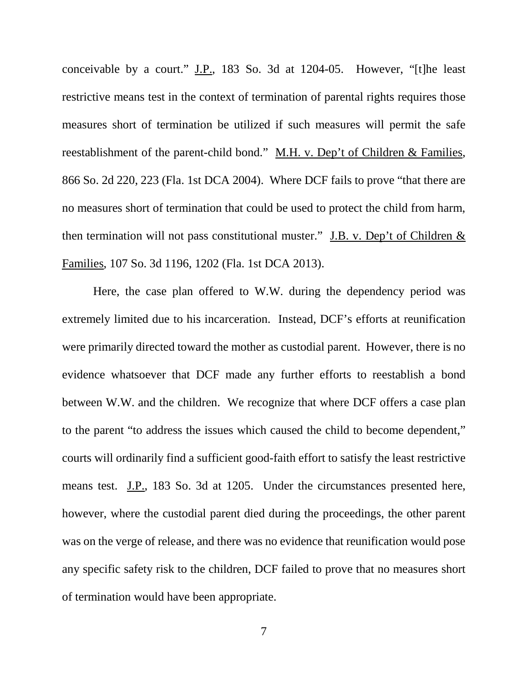conceivable by a court." J.P., 183 So. 3d at 1204-05. However, "[t]he least restrictive means test in the context of termination of parental rights requires those measures short of termination be utilized if such measures will permit the safe reestablishment of the parent-child bond." M.H. v. Dep't of Children & Families, 866 So. 2d 220, 223 (Fla. 1st DCA 2004). Where DCF fails to prove "that there are no measures short of termination that could be used to protect the child from harm, then termination will not pass constitutional muster." J.B. v. Dep't of Children  $&$ Families, 107 So. 3d 1196, 1202 (Fla. 1st DCA 2013).

Here, the case plan offered to W.W. during the dependency period was extremely limited due to his incarceration. Instead, DCF's efforts at reunification were primarily directed toward the mother as custodial parent. However, there is no evidence whatsoever that DCF made any further efforts to reestablish a bond between W.W. and the children. We recognize that where DCF offers a case plan to the parent "to address the issues which caused the child to become dependent," courts will ordinarily find a sufficient good-faith effort to satisfy the least restrictive means test. J.P., 183 So. 3d at 1205. Under the circumstances presented here, however, where the custodial parent died during the proceedings, the other parent was on the verge of release, and there was no evidence that reunification would pose any specific safety risk to the children, DCF failed to prove that no measures short of termination would have been appropriate.